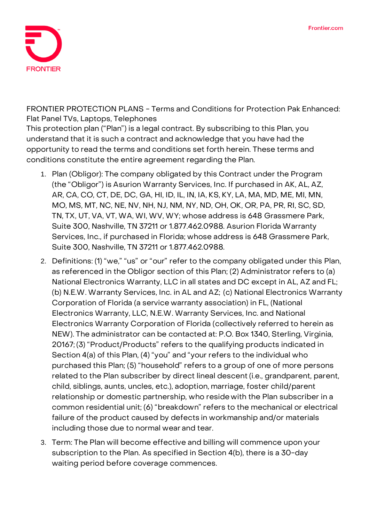

**FRONTIER PROTECTION PLANS - Terms and Conditions for Protection Pak Enhanced: Flat Panel TVs, Laptops, Telephones**

This protection plan ("Plan") is a legal contract. By subscribing to this Plan, you understand that it is such a contract and acknowledge that you have had the opportunity to read the terms and conditions set forth herein. These terms and conditions constitute the entire agreement regarding the Plan.

- 1. **Plan (Obligor):** The company obligated by this Contract under the Program (the "Obligor") is Asurion Warranty Services, Inc. If purchased in AK, AL, AZ, AR, CA, CO, CT, DE, DC, GA, HI, ID, IL, IN, IA, KS, KY, LA, MA, MD, ME, MI, MN, MO, MS, MT, NC, NE, NV, NH, NJ, NM, NY, ND, OH, OK, OR, PA, PR, RI, SC, SD, TN, TX, UT, VA, VT, WA, WI, WV, WY; whose address is 648 Grassmere Park, Suite 300, Nashville, TN 37211 or 1.877.462.0988. Asurion Florida Warranty Services, Inc., if purchased in Florida; whose address is 648 Grassmere Park, Suite 300, Nashville, TN 37211 or 1.877.462.0988.
- 2. **Definitions:** (1) "we," "us" or "our" refer to the company obligated under this Plan, as referenced in the Obligor section of this Plan; (2) Administrator refers to (a) National Electronics Warranty, LLC in all states and DC except in AL, AZ and FL; (b) N.E.W. Warranty Services, Inc. in AL and AZ; (c) National Electronics Warranty Corporation of Florida (a service warranty association) in FL, (National Electronics Warranty, LLC, N.E.W. Warranty Services, Inc. and National Electronics Warranty Corporation of Florida (collectively referred to herein as NEW). The administrator can be contacted at: P.O. Box 1340, Sterling, Virginia, 20167; (3) "Product/Products" refers to the qualifying products indicated in Section 4(a) of this Plan, (4) "you" and "your refers to the individual who purchased this Plan; (5) "household" refers to a group of one of more persons related to the Plan subscriber by direct lineal descent (i.e., grandparent, parent, child, siblings, aunts, uncles, etc.), adoption, marriage, foster child/parent relationship or domestic partnership, who reside with the Plan subscriber in a common residential unit; (6) "breakdown" refers to the mechanical or electrical failure of the product caused by defects in workmanship and/or materials including those due to normal wear and tear.
- 3. **Term:** The Plan will become effective and billing will commence upon your subscription to the Plan. **As specified in Section 4(b), there is a 30-day waiting period before coverage commences.**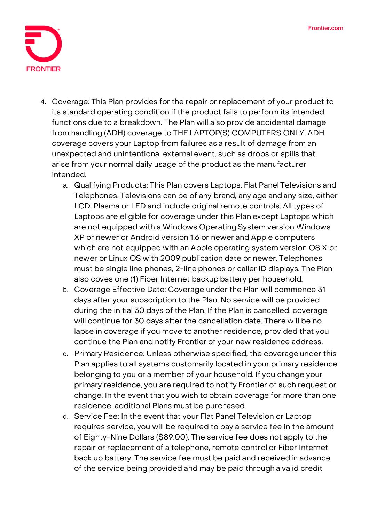

- 4. **Coverage:** This Plan provides for the repair or replacement of your product to its standard operating condition if the product fails to perform its intended functions due to a breakdown. The Plan will also provide accidental damage from handling (ADH) coverage to THE LAPTOP(S) COMPUTERS ONLY. ADH coverage covers your Laptop from failures as a result of damage from an unexpected and unintentional external event, such as drops or spills that arise from your normal daily usage of the product as the manufacturer intended.
	- a. Qualifying Products: This Plan covers Laptops, Flat Panel Televisions and Telephones. Televisions can be of any brand, any age and any size, either LCD, Plasma or LED and include original remote controls. All types of Laptops are eligible for coverage under this Plan except Laptops which are not equipped with a Windows Operating System version Windows XP or newer or Android version 1.6 or newer and Apple computers which are not equipped with an Apple operating system version OS X or newer or Linux OS with 2009 publication date or newer. Telephones must be single line phones, 2-line phones or caller ID displays. The Plan also coves one (1) Fiber Internet backup battery per household.
	- b. Coverage Effective Date: **Coverage under the Plan will commence 31 days after your subscription to the Plan. No service will be provided during the initial 30 days of the Plan. If the Plan is cancelled, coverage will continue for 30 days after the cancellation date.** There will be no lapse in coverage if you move to another residence, provided that you continue the Plan and notify Frontier of your new residence address.
	- c. Primary Residence: Unless otherwise specified, the coverage under this Plan applies to all systems customarily located in your primary residence belonging to you or a member of your household. If you change your primary residence, you are required to notify Frontier of such request or change. In the event that you wish to obtain coverage for more than one residence, additional Plans must be purchased.
	- d. Service Fee: **In the event that your Flat Panel Television or Laptop requires service, you will be required to pay a service fee in the amount of Eighty-Nine Dollars (\$89.00).** The service fee does not apply to the repair or replacement of a telephone, remote control or Fiber Internet back up battery. The service fee must be paid and receivedin advance of the service being provided and may be paid through a valid credit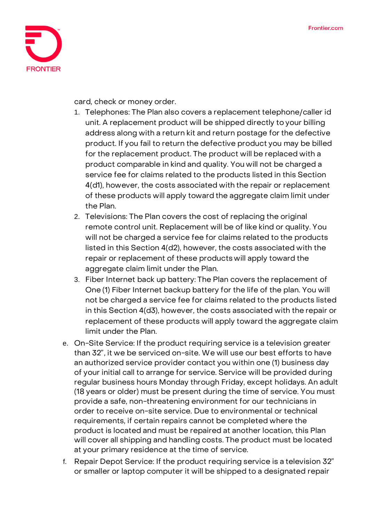

card, check or money order.

- 1. Telephones: The Plan also covers a replacement telephone/caller id unit. A replacement product will be shipped directly to your billing address along with a return kit and return postage for the defective product. If you fail to return the defective product you may be billed for the replacement product. The product will be replaced with a product comparable in kind and quality. You will not be charged a service fee for claims related to the products listed in this Section 4(d1), however, the costs associated with the repair or replacement of these products will apply toward the aggregate claim limit under the Plan.
- 2. Televisions: The Plan covers the cost of replacing the original remote control unit. Replacement will be of like kind or quality. You will not be charged a service fee for claims related to the products listed in this Section 4(d2), however, the costs associated with the repair or replacement of these products will apply toward the aggregate claim limit under the Plan.
- 3. Fiber Internet back up battery: The Plan covers the replacement of One (1) Fiber Internet backup battery for the life of the plan. You will not be charged a service fee for claims related to the products listed in this Section 4(d3), however, the costs associated with the repair or replacement of these products will apply toward the aggregate claim limit under the Plan.
- e. On-Site Service: If the product requiring service is a television greater than 32", it we be serviced on-site. We will use our best efforts to have an authorized service provider contact you within one (1) business day of your initial call to arrange for service. Service will be provided during regular business hours Monday through Friday, except holidays. An adult (18 years or older) must be present during the time of service. You must provide a safe, non-threatening environment for our technicians in order to receive on-site service. Due to environmental or technical requirements, if certain repairs cannot be completed where the product is located and must be repaired at another location, this Plan will cover all shipping and handling costs. The product must be located at your primary residence at the time of service.
- f. Repair Depot Service: If the product requiring service is a television 32" or smaller or laptop computer it will be shipped to a designated repair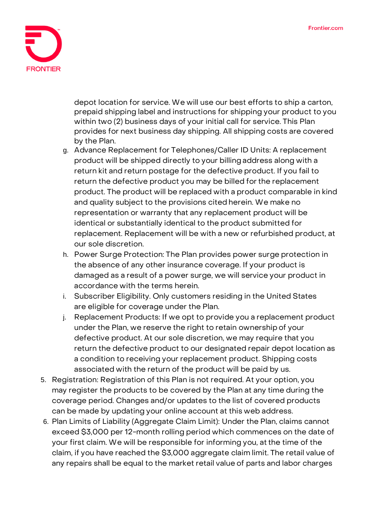

depot location for service. We will use our best efforts to ship a carton, prepaid shipping label and instructions for shipping your product to you within two (2) business days of your initial call for service. This Plan provides for next business day shipping. All shipping costs are covered by the Plan.

- g. Advance Replacement for Telephones/Caller ID Units: A replacement product will be shipped directly to your billingaddress along with a return kit and return postage for the defective product. If you fail to return the defective product you may be billed for the replacement product. The product will be replaced with a product comparable in kind and quality subject to the provisions cited herein. We make no representation or warranty that any replacement product will be identical or substantially identical to the product submitted for replacement. Replacement will be with a new or refurbished product, at our sole discretion.
- h. Power Surge Protection: The Plan provides power surge protection in the absence of any other insurance coverage. If your product is damaged as a result of a power surge, we will service your product in accordance with the terms herein.
- i. Subscriber Eligibility. Only customers residing in the United States are eligible for coverage under the Plan.
- j. Replacement Products: If we opt to provide you a replacement product under the Plan, we reserve the right to retain ownershipof your defective product. At our sole discretion, we may require that you return the defective product to our designated repair depot location as a condition to receiving your replacement product. Shipping costs associated with the return of the product will be paid by us.
- 5. **Registration:** Registration of this Plan is not required. At your option, you may register the products to be covered by the Plan at any time during the coverage period. Changes and/or updates to the list of covered products can be made by updating your online account at this web address.
- 6. **Plan Limits of Liability (Aggregate Claim Limit):** Under the Plan, claims cannot exceed \$3,000 per 12-month rolling period which commences on the date of your first claim. We will be responsible for informing you, at the time of the claim, if you have reached the \$3,000 aggregate claim limit. The retail value of any repairs shall be equal to the market retail value of parts and labor charges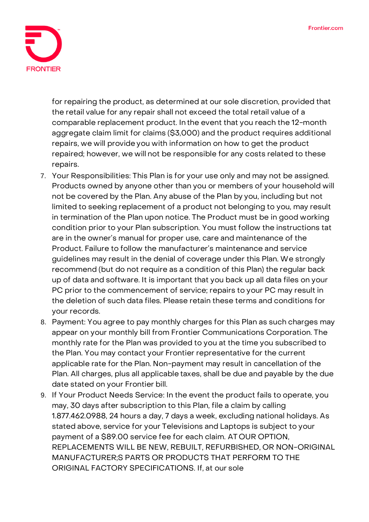

for repairing the product, as determined at our sole discretion, provided that the retail value for any repair shall not exceed the total retail value of a comparable replacement product. In the event that you reach the 12-month aggregate claim limit for claims (\$3,000) and the product requires additional repairs, we will provide you with information on how to get the product repaired; however, we will not be responsible for any costs related to these repairs.

- 7. **Your Responsibilities:** This Plan is for your use only and may not be assigned. Products owned by anyone other than you or members of your household will not be covered by the Plan. Any abuse of the Plan by you, including but not limited to seeking replacement of a product not belonging to you, may result in termination of the Plan upon notice. The Product must be in good working condition prior to your Plan subscription. You must follow the instructions tat are in the owner's manual for proper use, care and maintenance of the Product. Failure to follow the manufacturer's maintenance and service guidelines may result in the denial of coverage under this Plan. We strongly recommend (but do not require as a condition of this Plan) the regular back up of data and software. It is important that you back up all data files on your PC prior to the commencement of service; repairs to your PC may result in the deletion of such data files. Please retain these terms and conditions for your records.
- 8. **Payment:** You agree to pay monthly charges for this Plan as such charges may appear on your monthly bill from Frontier Communications Corporation. The monthly rate for the Plan was provided to you at the time you subscribed to the Plan. You may contact your Frontier representative for the current applicable rate for the Plan. Non-payment may result in cancellation of the Plan. All charges, plus all applicable taxes, shall be due and payable by the due date stated on your Frontier bill.
- 9. **If Your Product Needs Service:** In the event the product fails to operate, you may, 30 days after subscription to this Plan, file a claim by calling 1.877.462.0988, 24 hours a day, 7 days a week, excluding national holidays. As stated above, service for your Televisions and Laptops is subject to your payment of a \$89.00 service fee for each claim. **AT OUR OPTION, REPLACEMENTS WILL BE NEW, REBUILT, REFURBISHED, OR NON-ORIGINAL MANUFACTURER;S PARTS OR PRODUCTS THAT PERFORM TO THE ORIGINAL FACTORY SPECIFICATIONS.** If, at our sole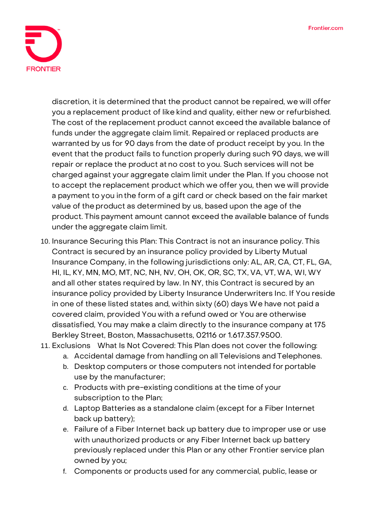

discretion, it is determined that the product cannot be repaired, we will offer you a replacement product of like kind and quality, either new or refurbished. The cost of the replacement product cannot exceed the available balance of funds under the aggregate claim limit. Repaired or replaced products are warranted by us for 90 days from the date of product receipt by you. In the event that the product fails to function properly during such 90 days, we will repair or replace the product at no cost to you. Such services will not be charged against your aggregate claim limit under the Plan. If you choose not to accept the replacement product which we offer you, then we will provide a payment to you in the form of a gift card or check based on the fair market value of the product as determined by us, based upon the age of the product. This payment amount cannot exceed the available balance of funds under the aggregate claim limit.

- 10. **Insurance Securing this Plan:** This Contract is not an insurance policy. This Contract is secured by an insurance policy provided by Liberty Mutual Insurance Company, in the following jurisdictions only: AL, AR, CA, CT, FL, GA, HI, IL, KY, MN, MO, MT, NC, NH, NV, OH, OK, OR, SC, TX, VA, VT, WA, WI, WY and all other states required by law. In NY, this Contract is secured by an insurance policy provided by Liberty Insurance Underwriters Inc. If You reside in one of these listed states and, within sixty (60) days We have not paid a covered claim, provided You with a refund owed or You are otherwise dissatisfied, You may make a claim directly to the insurance company at 175 Berkley Street, Boston, Massachusetts, 02116 or 1.617.357.9500.
- 11. **Exclusions What Is Not Covered:** This Plan does not cover the following:
	- a. Accidental damage from handling on all Televisions and Telephones.
	- b. Desktop computers or those computers not intended for portable use by the manufacturer;
	- c. Products with pre-existing conditions at the time of your subscription to the Plan;
	- d. Laptop Batteries as a standalone claim (except for a Fiber Internet back up battery);
	- e. Failure of a Fiber Internet back up battery due to improper use or use with unauthorized products or any Fiber Internet back up battery previously replaced under this Plan or any other Frontier service plan owned by you;
	- f. Components or products used for any commercial, public, lease or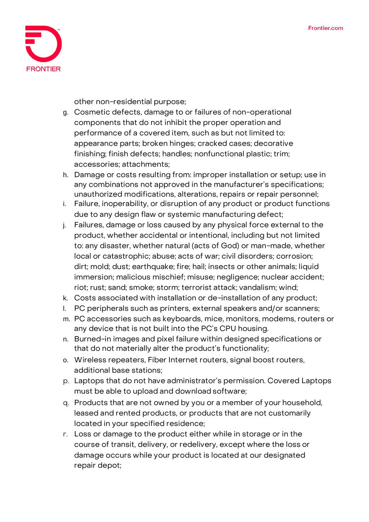

other non-residential purpose;

- g. Cosmetic defects, damage to or failures of non-operational components that do not inhibit the proper operation and performance of a covered item, such as but not limited to: appearance parts; broken hinges; cracked cases; decorative finishing; finish defects; handles; nonfunctional plastic; trim; accessories; attachments;
- h. Damage or costs resulting from: improper installation or setup; use in any combinations not approved in the manufacturer's specifications; unauthorized modifications, alterations, repairs or repair personnel;
- i. Failure, inoperability, or disruption of any product or product functions due to any design flaw or systemic manufacturing defect;
- j. Failures, damage or loss caused by any physical force external to the product, whether accidental or intentional, including but not limited to: any disaster, whether natural (acts of God) or man-made, whether local or catastrophic; abuse; acts of war; civil disorders; corrosion; dirt; mold; dust; earthquake; fire; hail; insects or other animals; liquid immersion; malicious mischief; misuse; negligence; nuclear accident; riot; rust; sand; smoke; storm; terrorist attack; vandalism; wind;
- k. Costs associated with installation or de-installation of any product;
- l. PC peripherals such as printers, external speakers and/or scanners;
- m. PC accessories such as keyboards, mice, monitors, modems, routers or any device that is not built into the PC's CPU housing.
- n. Burned-in images and pixel failure within designed specifications or that do not materially alter the product's functionality;
- o. Wireless repeaters, Fiber Internet routers, signal boost routers, additional base stations;
- p. Laptops that do not have administrator's permission. Covered Laptops must be able to upload and download software;
- q. Products that are not owned by you or a member of your household, leased and rented products, or products that are not customarily located in your specified residence;
- r. Loss or damage to the product either while in storage or in the course of transit, delivery, or redelivery, except where the loss or damage occurs while your product is located at our designated repair depot;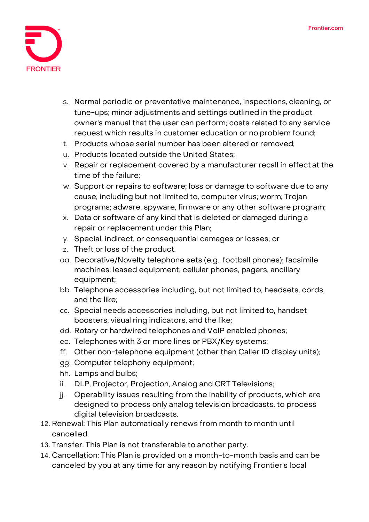

- s. Normal periodic or preventative maintenance, inspections, cleaning, or tune-ups; minor adjustments and settings outlined in the product owner's manual that the user can perform; costs related to any service request which results in customer education or no problem found;
- t. Products whose serial number has been altered or removed;
- u. Products located outside the United States;
- v. Repair or replacement covered by a manufacturer recall in effect at the time of the failure;
- w. Support or repairs to software; loss or damage to software due to any cause; including but not limited to, computer virus; worm; Trojan programs; adware, spyware, firmware or any other software program;
- x. Data or software of any kind that is deleted or damaged during a repair or replacement under this Plan;
- y. Special, indirect, or consequential damages or losses; or
- z. Theft or loss of the product.
- aa. Decorative/Novelty telephone sets (e.g., football phones); facsimile machines; leased equipment; cellular phones, pagers, ancillary equipment;
- bb. Telephone accessories including, but not limited to, headsets, cords, and the like;
- cc. Special needs accessories including, but not limited to, handset boosters, visual ring indicators, and the like;
- dd. Rotary or hardwired telephones and VoIP enabled phones;
- ee. Telephones with 3 or more lines or PBX/Key systems;
- ff. Other non-telephone equipment (other than Caller ID display units);
- gg. Computer telephony equipment;
- hh. Lamps and bulbs;
- ii. DLP, Projector, Projection, Analog and CRT Televisions;
- jj. Operability issues resulting from the inability of products, which are designed to process only analog television broadcasts, to process digital television broadcasts.
- 12. **Renewal:** This Plan automatically renews from month to month until cancelled.
- 13. **Transfer:** This Plan is not transferable to another party.
- 14. **Cancellation:** This Plan is provided on a month-to-month basis and can be canceled by you at any time for any reason by notifying Frontier's local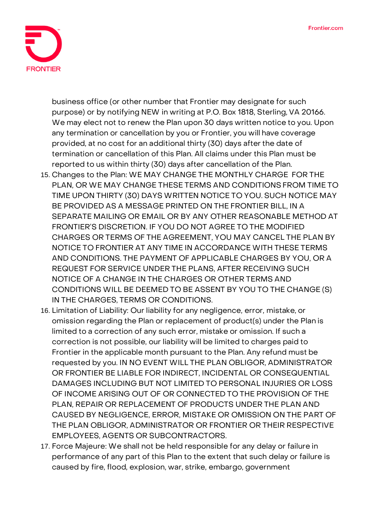

business office (or other number that Frontier may designate for such purpose) or by notifying NEW in writing at P.O. Box 1818, Sterling, VA 20166. We may elect not to renew the Plan upon 30 days written notice to you. Upon any termination or cancellation by you or Frontier, you will have coverage provided, at no cost for an additional thirty (30) days after the date of termination or cancellation of this Plan. All claims under this Plan must be reported to us within thirty (30) days after cancellation of the Plan.

- 15. **Changes to the Plan:** WE MAY CHANGE THE MONTHLY CHARGE FOR THE PLAN, OR WE MAY CHANGE THESE TERMS AND CONDITIONS FROM TIME TO TIME UPON THIRTY (30) DAYS WRITTEN NOTICE TO YOU. SUCH NOTICE MAY BE PROVIDED AS A MESSAGE PRINTED ON THE FRONTIER BILL, IN A SEPARATE MAILING OR EMAIL OR BY ANY OTHER REASONABLE METHOD AT FRONTIER'S DISCRETION. IF YOU DO NOT AGREE TO THE MODIFIED CHARGES OR TERMS OF THE AGREEMENT, YOU MAY CANCEL THE PLAN BY NOTICE TO FRONTIER AT ANY TIME IN ACCORDANCE WITH THESE TERMS AND CONDITIONS. THE PAYMENT OF APPLICABLE CHARGES BY YOU, OR A REQUEST FOR SERVICE UNDER THE PLANS, AFTER RECEIVING SUCH NOTICE OF A CHANGE IN THE CHARGES OR OTHER TERMS AND CONDITIONS WILL BE DEEMED TO BE ASSENT BY YOU TO THE CHANGE (S) IN THE CHARGES, TERMS OR CONDITIONS.
- 16. **Limitation of Liability:** Our liability for any negligence, error, mistake, or omission regarding the Plan or replacement of product(s) under the Plan is limited to a correction of any such error, mistake or omission. If such a correction is not possible, our liability will be limited to charges paid to Frontier in the applicable month pursuant to the Plan. Any refund must be requested by you. IN NO EVENT WILL THE PLAN OBLIGOR, ADMINISTRATOR OR FRONTIER BE LIABLE FOR INDIRECT, INCIDENTAL OR CONSEQUENTIAL DAMAGES INCLUDING BUT NOT LIMITED TO PERSONAL INJURIES OR LOSS OF INCOME ARISING OUT OF OR CONNECTED TO THE PROVISION OF THE PLAN, REPAIR OR REPLACEMENT OF PRODUCTS UNDER THE PLAN AND CAUSED BY NEGLIGENCE, ERROR, MISTAKE OR OMISSION ON THE PART OF THE PLAN OBLIGOR, ADMINISTRATOR OR FRONTIER OR THEIR RESPECTIVE EMPLOYEES, AGENTS OR SUBCONTRACTORS.
- 17. **Force Majeure:** We shall not be held responsible for any delay or failure in performance of any part of this Plan to the extent that such delay or failure is caused by fire, flood, explosion, war, strike, embargo, government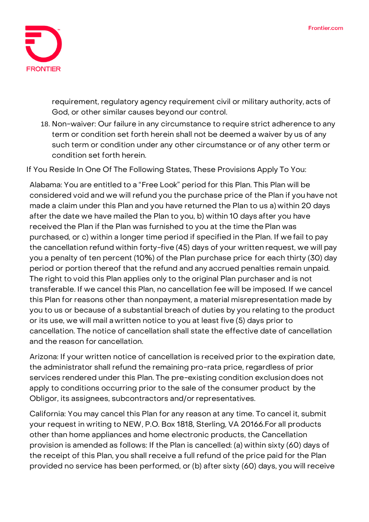

requirement, regulatory agency requirement civil or military authority, acts of God, or other similar causes beyond our control.

18. **Non-waiver:** Our failure in any circumstance to require strict adherence to any term or condition set forth herein shall not be deemed a waiver by us of any such term or condition under any other circumstance or of any other term or condition set forth herein.

**If You Reside In One Of The Following States, These Provisions Apply To You:**

**Alabama:** You are entitled to a "Free Look" period for this Plan. This Plan will be considered void and we will refund you the purchase price of the Plan if you have not made a claim under this Plan and you have returned the Plan to us a) within 20 days after the date we have mailed the Plan to you, b) within 10 days after you have received the Plan if the Plan was furnished to you at the time the Plan was purchased, or c) within a longer time period if specified in the Plan. If we fail to pay the cancellation refund within forty-five (45) days of your written request, we will pay you a penalty of ten percent (10%) of the Plan purchase price for each thirty (30) day period or portion thereof that the refund and any accrued penalties remain unpaid. The right to void this Plan applies only to the original Plan purchaser and is not transferable. If we cancel this Plan, no cancellation fee will be imposed. If we cancel this Plan for reasons other than nonpayment, a material misrepresentation made by you to us or because of a substantial breach of duties by you relating to the product or its use, we will mail a written notice to you at least five (5) days prior to cancellation. The notice of cancellation shall state the effective date of cancellation and the reason for cancellation.

**Arizona:** If your written notice of cancellation is received prior to the expiration date, the administrator shall refund the remaining pro-rata price, regardless of prior services rendered under this Plan. The pre-existing condition exclusion does not apply to conditions occurring prior to the sale of the consumer product by the Obligor, its assignees, subcontractors and/or representatives.

**California:** You may cancel this Plan for any reason at any time. To cancel it, submit your request in writing to NEW, P.O. Box 1818, Sterling, VA 20166.For all products other than home appliances and home electronic products, the Cancellation provision is amended as follows: If the Plan is cancelled: (a) within sixty (60) days of the receipt of this Plan, you shall receive a full refund of the price paid for the Plan provided no service has been performed, or (b) after sixty (60) days, you will receive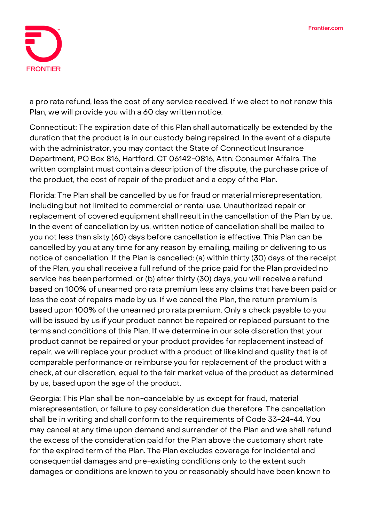

a pro rata refund, less the cost of any service received. If we elect to not renew this Plan, we will provide you with a 60 day written notice.

**Connecticut:** The expiration date of this Plan shall automatically be extended by the duration that the product is in our custody being repaired. In the event of a dispute with the administrator, you may contact the State of Connecticut Insurance Department, PO Box 816, Hartford, CT 06142-0816, Attn: Consumer Affairs. The written complaint must contain a description of the dispute, the purchase price of the product, the cost of repair of the product and a copy ofthe Plan.

**Florida:** The Plan shall be cancelled by us for fraud or material misrepresentation, including but not limited to commercial or rental use. Unauthorized repair or replacement of covered equipment shall result in the cancellation of the Plan by us. In the event of cancellation by us, written notice of cancellation shall be mailed to you not less than sixty (60) days before cancellation is effective. This Plan can be cancelled by you at any time for any reason by emailing, mailing or delivering to us notice of cancellation. If the Plan is cancelled: (a) within thirty (30) days of the receipt of the Plan, you shall receivea full refund of the price paid for the Plan provided no service has beenperformed, or (b) after thirty (30) days, you will receive a refund based on 100% of unearned pro rata premium less any claims that have been paid or less the cost ofrepairs made by us. If we cancel the Plan, the return premium is based upon 100% ofthe unearned pro rata premium. Only a check payable to you will be issued by us if your product cannot be repaired or replaced pursuant to the terms and conditions of this Plan. If we determine in our sole discretion that your product cannot be repaired or your product provides for replacement instead of repair, we will replace your product with a product of like kind and quality that is of comparable performance or reimburse you for replacement of the product with a check, at our discretion, equal to the fair market value of the product as determined by us, based upon the age of the product.

**Georgia:** This Plan shall be non-cancelable by us except for fraud, material misrepresentation, or failure to pay consideration due therefore. The cancellation shall be in writing and shall conform to the requirements of Code 33-24-44. You may cancel at any time upon demand and surrender of the Plan and we shall refund the excess of the consideration paid for the Plan above the customary short rate for the expired term of the Plan. The Plan excludes coverage for incidental and consequential damages and pre-existing conditions only to the extent such damages or conditions are known to you or reasonably should have been known to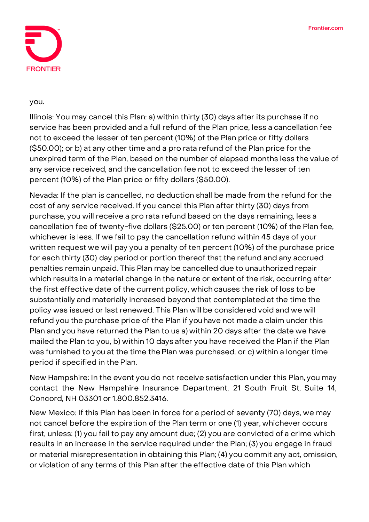

## you.

**Illinois:** You may cancel this Plan: a) within thirty (30) days after its purchase if no service has been provided and a full refund of the Plan price, less a cancellation fee not to exceed the lesser of ten percent (10%) of the Plan price or fifty dollars (\$50.00); or b) at any other time and a pro rata refund of the Plan price forthe unexpired term of the Plan, based on the number of elapsed months less the value of any service received, and the cancellation fee not to exceed the lesser of ten percent (10%) of the Plan price or fifty dollars (\$50.00).

**Nevada:** If the plan is cancelled, no deduction shall be made from the refund for the cost of any service received. If you cancel this Plan after thirty (30) days from purchase, you will receive a pro rata refund based on the days remaining, less a cancellation fee of twenty-five dollars (\$25.00) or ten percent (10%) of the Plan fee, whichever is less. If we fail to pay the cancellation refund within 45 days of your written request we will pay you a penalty of ten percent (10%) of the purchase price for each thirty (30) day period or portion thereof that the refund and any accrued penalties remain unpaid. This Plan may be cancelled due to unauthorized repair which results in a material change in the nature or extent of the risk, occurring after the first effective date of the current policy, which causes the risk of loss to be substantially and materially increased beyond that contemplated at the time the policy was issued or last renewed. This Plan will be considered void and we will refund you the purchase price of the Plan if youhave not made a claim under this Plan and you have returned the Plan to us a) within 20 days after the date we have mailed the Plan to you, b) within 10 days after you have received the Plan if the Plan was furnished to you at the time thePlan was purchased, or c) within a longer time period if specified in the Plan.

**New Hampshire:** In the event you do not receive satisfaction under this Plan, you may contact the New Hampshire Insurance Department, 21 South Fruit St, Suite 14, Concord, NH 03301 or 1.800.852.3416.

**New Mexico:** If this Plan has been in force for a period of seventy (70) days, we may not cancel before the expiration of the Plan term or one (1) year, whichever occurs first, unless: (1) you fail to pay any amount due; (2) you are convicted of a crime which results in an increase in the service required under the Plan; (3) you engage in fraud or material misrepresentation in obtaining this Plan; (4) you commit any act, omission, or violation of any terms of this Plan after the effective date of this Plan which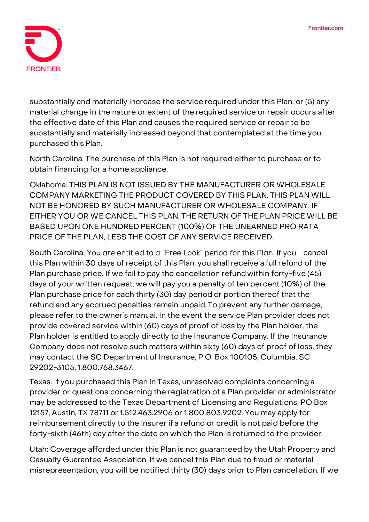

substantially and materially increase the service required under this Plan; or (5) any material change in the nature or extent of the required service or repair occurs after the effective date of this Plan and causes the required service or repair to be substantially and materially increased beyond that contemplated at the time you purchased this Plan.

**North Carolina:** The purchase of this Plan is not required either to purchase or to obtain financing for a home appliance.

**Oklahoma:** THIS PLAN IS NOT ISSUED BY THE MANUFACTURER OR WHOLESALE COMPANY MARKETING THE PRODUCT COVERED BY THIS PLAN. THIS PLAN WILL NOT BE HONORED BY SUCH MANUFACTURER OR WHOLESALE COMPANY. IF EITHER YOU OR WE CANCEL THIS PLAN, THE RETURN OF THE PLAN PRICE WILL BE BASED UPON ONE HUNDRED PERCENT (100%) OF THE UNEARNED PRO RATA PRICE OF THE PLAN, LESS THE COST OF ANY SERVICE RECEIVED.

South Carolina: You are entitled to a "Free Look" period for this Plan. If you cancel this Plan within 30 days of receipt of this Plan, you shall receive a full refund of the Plan purchase price. If we fail to pay the cancellation refund within forty-five (45) days of your written request, we will pay you a penalty of ten percent (10%) of the Plan purchase price for each thirty (30) day period or portion thereof that the refund and any accrued penalties remain unpaid. To prevent any further damage, please refer to the owner's manual. In the event the service Plan provider does not provide covered service within (60) days of proof of loss by the Plan holder, the Plan holder is entitled to apply directly to the Insurance Company. If the Insurance Company does not resolve such matters within sixty (60) days of proof of loss, they may contact the SC Department of Insurance, P.O. Box 100105, Columbia, SC 29202-3105,1.800.768.3467.

**Texas:** If you purchased this Plan in Texas, unresolved complaints concerning a provider or questions concerning the registration of a Plan provider or administrator may be addressed to the Texas Department of Licensing and Regulations, PO Box 12157, Austin, TX 78711 or 1.512.463.2906 or 1.800.803.9202. You may apply for reimbursement directly to the insurer if a refund or credit is not paid before the forty-sixth (46th) day after the date on which the Plan is returned to the provider.

**Utah:** Coverage afforded under this Plan is not guaranteed by the Utah Property and Casualty Guarantee Association. If we cancel this Plan due to fraud or material misrepresentation, you will be notified thirty (30) days prior to Plan cancellation. If we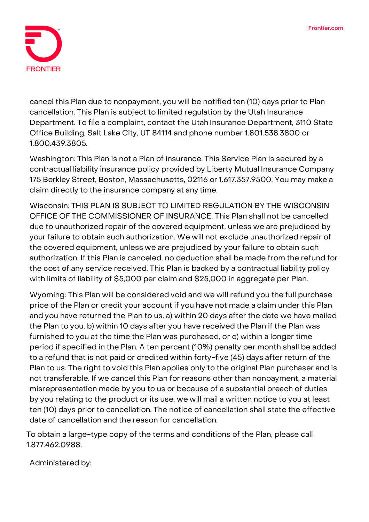

cancel this Plan due to nonpayment, you will be notified ten (10) days prior to Plan cancellation. This Plan is subject to limited regulation by the Utah Insurance Department. To file a complaint, contact the Utah Insurance Department, 3110 State Office Building, Salt Lake City, UT 84114 and phone number 1.801.538.3800 or 1.800.439.3805.

**Washington:** This Plan is not a Plan of insurance. This Service Plan is secured by a contractual liability insurance policy provided by Liberty Mutual Insurance Company 175 Berkley Street, Boston, Massachusetts, 02116 or 1.617.357.9500. You may make a claim directly to the insurance company at any time.

**Wisconsin: THIS PLAN IS SUBJECT TO LIMITED REGULATION BY THE WISCONSIN OFFICE OF THE COMMISSIONER OF INSURANCE.** This Plan shall not be cancelled due to unauthorized repair of the covered equipment, unless we are prejudiced by your failure to obtain such authorization. We will not exclude unauthorized repair of the covered equipment, unless we are prejudiced by your failure to obtain such authorization. If this Plan is canceled, no deduction shall be made from the refund for the cost of any service received. This Plan is backed by a contractual liability policy with limits of liability of \$5,000 per claim and \$25,000 in aggregate per Plan.

**Wyoming:** This Plan will be considered void and we will refund you the full purchase price of the Plan or credit your account if you have not made a claim under this Plan and you have returned the Plan to us, a) within 20 days after the date we have mailed the Plan to you, b) within 10 days after you have received the Plan if the Plan was furnished to you at the time the Plan was purchased, or c) within a longer time period if specified in the Plan. A ten percent (10%) penalty per month shall be added to a refund that is not paid or credited within forty-five (45) days after return of the Plan to us. The right to void this Plan applies only to the original Plan purchaser and is not transferable. If we cancel this Plan for reasons other than nonpayment, a material misrepresentation made by you to us or because of a substantial breach of duties by you relating to the product or its use, we will mail a written notice to you at least ten (10) days prior to cancellation. The notice of cancellation shall state the effective date of cancellation and the reason for cancellation.

**To obtain a large-type copy of the terms and conditions of the Plan, please call 1.877.462.0988.**

Administered by: